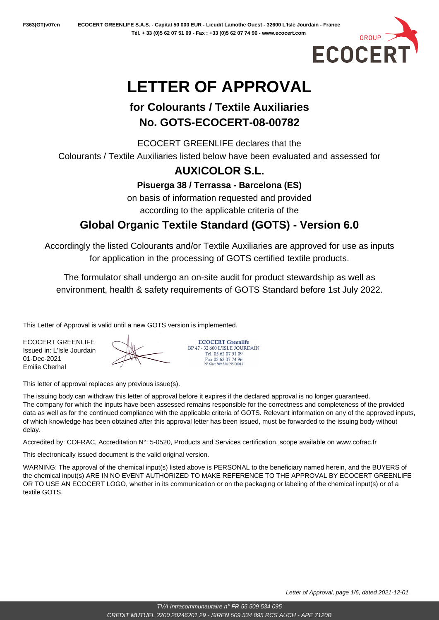

# **LETTER OF APPROVAL**

# **for Colourants / Textile Auxiliaries No. GOTS-ECOCERT-08-00782**

ECOCERT GREENLIFE declares that the Colourants / Textile Auxiliaries listed below have been evaluated and assessed for

# **AUXICOLOR S.L.**

**Pisuerga 38 / Terrassa - Barcelona (ES)**

on basis of information requested and provided according to the applicable criteria of the

# **Global Organic Textile Standard (GOTS) - Version 6.0**

Accordingly the listed Colourants and/or Textile Auxiliaries are approved for use as inputs for application in the processing of GOTS certified textile products.

The formulator shall undergo an on-site audit for product stewardship as well as environment, health & safety requirements of GOTS Standard before 1st July 2022.

This Letter of Approval is valid until a new GOTS version is implemented.

ECOCERT GREENLIFE Issued in: L'Isle Jourdain 01-Dec-2021 Emilie Cherhal



**ECOCERT Greenlife** BP 47 - 32.600 L'ISLE JOURDAIN Tél. 05 62 07 51 09 Fax 05 62 07 74 96<br>N° Siret 509 534 095 00013

This letter of approval replaces any previous issue(s).

The issuing body can withdraw this letter of approval before it expires if the declared approval is no longer guaranteed. The company for which the inputs have been assessed remains responsible for the correctness and completeness of the provided data as well as for the continued compliance with the applicable criteria of GOTS. Relevant information on any of the approved inputs, of which knowledge has been obtained after this approval letter has been issued, must be forwarded to the issuing body without delay.

Accredited by: COFRAC, Accreditation N°: 5-0520, Products and Services certification, scope available on www.cofrac.fr

This electronically issued document is the valid original version.

WARNING: The approval of the chemical input(s) listed above is PERSONAL to the beneficiary named herein, and the BUYERS of the chemical input(s) ARE IN NO EVENT AUTHORIZED TO MAKE REFERENCE TO THE APPROVAL BY ECOCERT GREENLIFE OR TO USE AN ECOCERT LOGO, whether in its communication or on the packaging or labeling of the chemical input(s) or of a textile GOTS.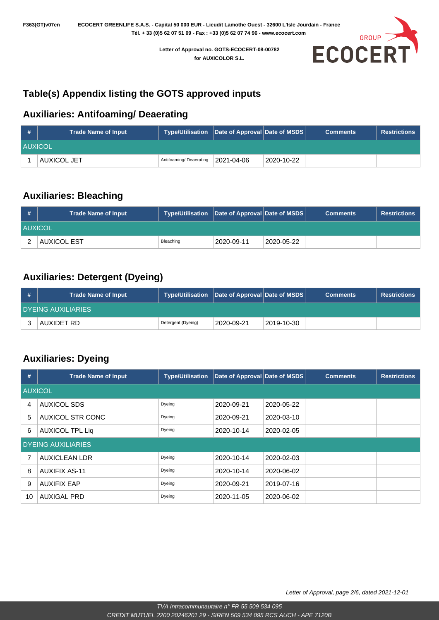GROUP **ECOCER** 

**Letter of Approval no. GOTS-ECOCERT-08-00782 for AUXICOLOR S.L.**

## **Table(s) Appendix listing the GOTS approved inputs**

#### **Auxiliaries: Antifoaming/ Deaerating**

| <b>H</b>       | <b>Trade Name of Input</b> | Type/Utilisation   Date of Approval   Date of MSDS |            |            | <b>Comments</b> | <b>Restrictions</b> |
|----------------|----------------------------|----------------------------------------------------|------------|------------|-----------------|---------------------|
| <b>AUXICOL</b> |                            |                                                    |            |            |                 |                     |
|                | AUXICOL JET                | Antifoaming/ Deaerating                            | 2021-04-06 | 2020-10-22 |                 |                     |

#### **Auxiliaries: Bleaching**

| #              | <b>Trade Name of Input</b> |           | Type/Utilisation   Date of Approval   Date of MSDS |            | <b>Comments</b> | <b>Restrictions</b> |
|----------------|----------------------------|-----------|----------------------------------------------------|------------|-----------------|---------------------|
| <b>AUXICOL</b> |                            |           |                                                    |            |                 |                     |
|                | <b>AUXICOL EST</b>         | Bleaching | 2020-09-11                                         | 2020-05-22 |                 |                     |

### **Auxiliaries: Detergent (Dyeing)**

| # | <b>Trade Name of Input</b> | <b>Type/Utilisation</b> | <b>Date of Approval Date of MSDS</b> |            | <b>Comments</b> | <b>Restrictions</b> |
|---|----------------------------|-------------------------|--------------------------------------|------------|-----------------|---------------------|
|   | I DYEING AUXILIARIES .     |                         |                                      |            |                 |                     |
|   | AUXIDET RD                 | Detergent (Dyeing)      | 2020-09-21                           | 2019-10-30 |                 |                     |

#### **Auxiliaries: Dyeing**

| #  | <b>Trade Name of Input</b> | <b>Type/Utilisation</b> | Date of Approval Date of MSDS |            | <b>Comments</b> | <b>Restrictions</b> |  |  |  |
|----|----------------------------|-------------------------|-------------------------------|------------|-----------------|---------------------|--|--|--|
|    | <b>AUXICOL</b>             |                         |                               |            |                 |                     |  |  |  |
| 4  | <b>AUXICOL SDS</b>         | Dyeing                  | 2020-09-21                    | 2020-05-22 |                 |                     |  |  |  |
| 5  | <b>AUXICOL STR CONC</b>    | Dyeing                  | 2020-09-21                    | 2020-03-10 |                 |                     |  |  |  |
| 6  | <b>AUXICOL TPL Liq</b>     | Dyeing                  | 2020-10-14                    | 2020-02-05 |                 |                     |  |  |  |
|    | <b>DYEING AUXILIARIES</b>  |                         |                               |            |                 |                     |  |  |  |
| 7  | <b>AUXICLEAN LDR</b>       | Dyeing                  | 2020-10-14                    | 2020-02-03 |                 |                     |  |  |  |
| 8  | <b>AUXIFIX AS-11</b>       | Dyeing                  | 2020-10-14                    | 2020-06-02 |                 |                     |  |  |  |
| 9  | <b>AUXIFIX EAP</b>         | Dyeing                  | 2020-09-21                    | 2019-07-16 |                 |                     |  |  |  |
| 10 | <b>AUXIGAL PRD</b>         | Dyeing                  | 2020-11-05                    | 2020-06-02 |                 |                     |  |  |  |

Letter of Approval, page 2/6, dated 2021-12-01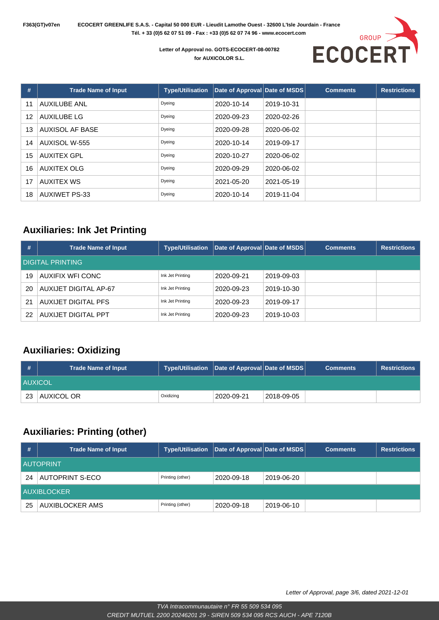**F363(GT)v07en ECOCERT GREENLIFE S.A.S. - Capital 50 000 EUR - Lieudit Lamothe Ouest - 32600 L'Isle Jourdain - France Tél. + 33 (0)5 62 07 51 09 - Fax : +33 (0)5 62 07 74 96 - www.ecocert.com** 



**Letter of Approval no. GOTS-ECOCERT-08-00782 for AUXICOLOR S.L.**

| #  | <b>Trade Name of Input</b> | <b>Type/Utilisation</b> | Date of Approval Date of MSDS |            | <b>Comments</b> | <b>Restrictions</b> |
|----|----------------------------|-------------------------|-------------------------------|------------|-----------------|---------------------|
| 11 | <b>AUXILUBE ANL</b>        | Dyeing                  | 2020-10-14                    | 2019-10-31 |                 |                     |
| 12 | <b>AUXILUBE LG</b>         | Dyeing                  | 2020-09-23                    | 2020-02-26 |                 |                     |
| 13 | AUXISOL AF BASE            | Dyeing                  | 2020-09-28                    | 2020-06-02 |                 |                     |
| 14 | AUXISOL W-555              | Dyeing                  | 2020-10-14                    | 2019-09-17 |                 |                     |
| 15 | <b>AUXITEX GPL</b>         | Dyeing                  | 2020-10-27                    | 2020-06-02 |                 |                     |
| 16 | <b>AUXITEX OLG</b>         | Dyeing                  | 2020-09-29                    | 2020-06-02 |                 |                     |
| 17 | <b>AUXITEX WS</b>          | Dyeing                  | 2021-05-20                    | 2021-05-19 |                 |                     |
| 18 | <b>AUXIWET PS-33</b>       | Dyeing                  | 2020-10-14                    | 2019-11-04 |                 |                     |

#### **Auxiliaries: Ink Jet Printing**

| #  | <b>Trade Name of Input</b> | <b>Type/Utilisation</b> | Date of Approval Date of MSDS |            | <b>Comments</b> | <b>Restrictions</b> |  |  |  |
|----|----------------------------|-------------------------|-------------------------------|------------|-----------------|---------------------|--|--|--|
|    | <b>DIGITAL PRINTING</b>    |                         |                               |            |                 |                     |  |  |  |
| 19 | AUXIFIX WFI CONC           | Ink Jet Printing        | 2020-09-21                    | 2019-09-03 |                 |                     |  |  |  |
| 20 | AUXIJET DIGITAL AP-67      | Ink Jet Printing        | 2020-09-23                    | 2019-10-30 |                 |                     |  |  |  |
| 21 | AUXIJET DIGITAL PFS        | Ink Jet Printing        | 2020-09-23                    | 2019-09-17 |                 |                     |  |  |  |
| 22 | AUXIJET DIGITAL PPT        | Ink Jet Printing        | 2020-09-23                    | 2019-10-03 |                 |                     |  |  |  |

#### **Auxiliaries: Oxidizing**

| #              | <b>Trade Name of Input</b> | Type/Utilisation   Date of Approval   Date of MSDS |            |            | <b>Comments</b> | <b>Restrictions</b> |
|----------------|----------------------------|----------------------------------------------------|------------|------------|-----------------|---------------------|
| <b>AUXICOL</b> |                            |                                                    |            |            |                 |                     |
| 23             | AUXICOL OR                 | Oxidizing                                          | 2020-09-21 | 2018-09-05 |                 |                     |

#### **Auxiliaries: Printing (other)**

| #                  | <b>Trade Name of Input</b> | Type/Utilisation | Date of Approval Date of MSDS |            | <b>Comments</b> | <b>Restrictions</b> |  |  |
|--------------------|----------------------------|------------------|-------------------------------|------------|-----------------|---------------------|--|--|
|                    | <b>AUTOPRINT</b>           |                  |                               |            |                 |                     |  |  |
| 24                 | <b>AUTOPRINT S-ECO</b>     | Printing (other) | 2020-09-18                    | 2019-06-20 |                 |                     |  |  |
| <b>AUXIBLOCKER</b> |                            |                  |                               |            |                 |                     |  |  |
| 25                 | AUXIBLOCKER AMS            | Printing (other) | 2020-09-18                    | 2019-06-10 |                 |                     |  |  |

Letter of Approval, page 3/6, dated 2021-12-01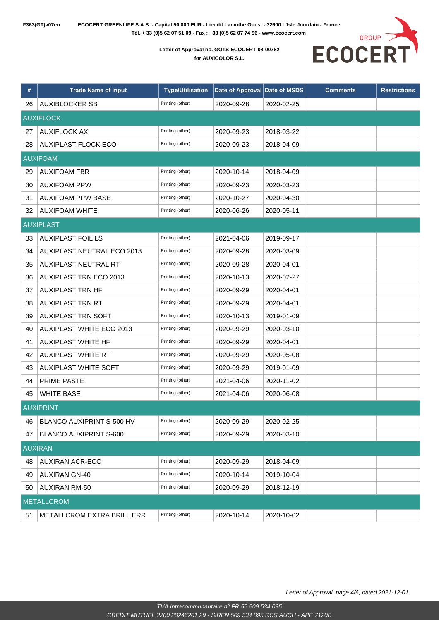

**Letter of Approval no. GOTS-ECOCERT-08-00782 for AUXICOLOR S.L.**

| #  | <b>Trade Name of Input</b>      | <b>Type/Utilisation</b> | Date of Approval Date of MSDS |            | <b>Comments</b> | <b>Restrictions</b> |
|----|---------------------------------|-------------------------|-------------------------------|------------|-----------------|---------------------|
| 26 | <b>AUXIBLOCKER SB</b>           | Printing (other)        | 2020-09-28                    | 2020-02-25 |                 |                     |
|    | <b>AUXIFLOCK</b>                |                         |                               |            |                 |                     |
| 27 | <b>AUXIFLOCK AX</b>             | Printing (other)        | 2020-09-23                    | 2018-03-22 |                 |                     |
| 28 | <b>AUXIPLAST FLOCK ECO</b>      | Printing (other)        | 2020-09-23                    | 2018-04-09 |                 |                     |
|    | <b>AUXIFOAM</b>                 |                         |                               |            |                 |                     |
| 29 | <b>AUXIFOAM FBR</b>             | Printing (other)        | 2020-10-14                    | 2018-04-09 |                 |                     |
| 30 | <b>AUXIFOAM PPW</b>             | Printing (other)        | 2020-09-23                    | 2020-03-23 |                 |                     |
| 31 | <b>AUXIFOAM PPW BASE</b>        | Printing (other)        | 2020-10-27                    | 2020-04-30 |                 |                     |
| 32 | <b>AUXIFOAM WHITE</b>           | Printing (other)        | 2020-06-26                    | 2020-05-11 |                 |                     |
|    | <b>AUXIPLAST</b>                |                         |                               |            |                 |                     |
| 33 | <b>AUXIPLAST FOIL LS</b>        | Printing (other)        | 2021-04-06                    | 2019-09-17 |                 |                     |
| 34 | AUXIPLAST NEUTRAL ECO 2013      | Printing (other)        | 2020-09-28                    | 2020-03-09 |                 |                     |
| 35 | AUXIPLAST NEUTRAL RT            | Printing (other)        | 2020-09-28                    | 2020-04-01 |                 |                     |
| 36 | <b>AUXIPLAST TRN ECO 2013</b>   | Printing (other)        | 2020-10-13                    | 2020-02-27 |                 |                     |
| 37 | <b>AUXIPLAST TRN HF</b>         | Printing (other)        | 2020-09-29                    | 2020-04-01 |                 |                     |
| 38 | <b>AUXIPLAST TRN RT</b>         | Printing (other)        | 2020-09-29                    | 2020-04-01 |                 |                     |
| 39 | <b>AUXIPLAST TRN SOFT</b>       | Printing (other)        | 2020-10-13                    | 2019-01-09 |                 |                     |
| 40 | <b>AUXIPLAST WHITE ECO 2013</b> | Printing (other)        | 2020-09-29                    | 2020-03-10 |                 |                     |
| 41 | <b>AUXIPLAST WHITE HF</b>       | Printing (other)        | 2020-09-29                    | 2020-04-01 |                 |                     |
| 42 | <b>AUXIPLAST WHITE RT</b>       | Printing (other)        | 2020-09-29                    | 2020-05-08 |                 |                     |
| 43 | <b>AUXIPLAST WHITE SOFT</b>     | Printing (other)        | 2020-09-29                    | 2019-01-09 |                 |                     |
| 44 | PRIME PASTE                     | Printing (other)        | 2021-04-06                    | 2020-11-02 |                 |                     |
| 45 | <b>WHITE BASE</b>               | Printing (other)        | 2021-04-06                    | 2020-06-08 |                 |                     |
|    | <b>AUXIPRINT</b>                |                         |                               |            |                 |                     |
| 46 | BLANCO AUXIPRINT S-500 HV       | Printing (other)        | 2020-09-29                    | 2020-02-25 |                 |                     |
| 47 | <b>BLANCO AUXIPRINT S-600</b>   | Printing (other)        | 2020-09-29                    | 2020-03-10 |                 |                     |
|    | <b>AUXIRAN</b>                  |                         |                               |            |                 |                     |
| 48 | <b>AUXIRAN ACR-ECO</b>          | Printing (other)        | 2020-09-29                    | 2018-04-09 |                 |                     |
| 49 | <b>AUXIRAN GN-40</b>            | Printing (other)        | 2020-10-14                    | 2019-10-04 |                 |                     |
| 50 | <b>AUXIRAN RM-50</b>            | Printing (other)        | 2020-09-29                    | 2018-12-19 |                 |                     |
|    | <b>METALLCROM</b>               |                         |                               |            |                 |                     |
| 51 | METALLCROM EXTRA BRILL ERR      | Printing (other)        | 2020-10-14                    | 2020-10-02 |                 |                     |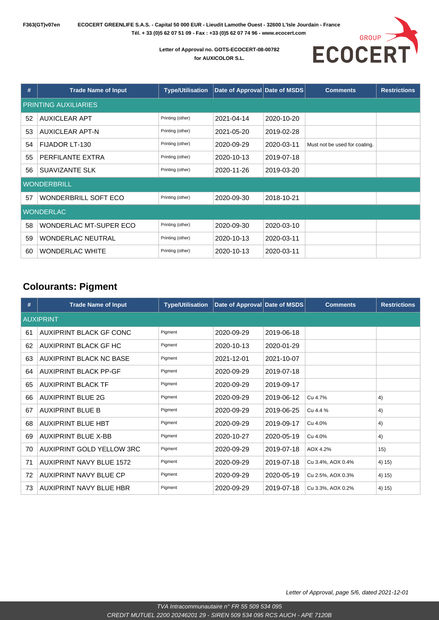

#### **Letter of Approval no. GOTS-ECOCERT-08-00782 for AUXICOLOR S.L.**

| #  | <b>Trade Name of Input</b>  | <b>Type/Utilisation</b> | Date of Approval Date of MSDS |            | <b>Comments</b>               | <b>Restrictions</b> |  |  |  |
|----|-----------------------------|-------------------------|-------------------------------|------------|-------------------------------|---------------------|--|--|--|
|    | <b>PRINTING AUXILIARIES</b> |                         |                               |            |                               |                     |  |  |  |
| 52 | <b>AUXICLEAR APT</b>        | Printing (other)        | 2021-04-14                    | 2020-10-20 |                               |                     |  |  |  |
| 53 | <b>AUXICLEAR APT-N</b>      | Printing (other)        | 2021-05-20                    | 2019-02-28 |                               |                     |  |  |  |
| 54 | FIJADOR LT-130              | Printing (other)        | 2020-09-29                    | 2020-03-11 | Must not be used for coating. |                     |  |  |  |
| 55 | PERFILANTE EXTRA            | Printing (other)        | 2020-10-13                    | 2019-07-18 |                               |                     |  |  |  |
| 56 | SUAVIZANTE SLK              | Printing (other)        | 2020-11-26                    | 2019-03-20 |                               |                     |  |  |  |
|    | <b>WONDERBRILL</b>          |                         |                               |            |                               |                     |  |  |  |
| 57 | WONDERBRILL SOFT ECO        | Printing (other)        | 2020-09-30                    | 2018-10-21 |                               |                     |  |  |  |
|    | <b>WONDERLAC</b>            |                         |                               |            |                               |                     |  |  |  |
| 58 | WONDERLAC MT-SUPER ECO      | Printing (other)        | 2020-09-30                    | 2020-03-10 |                               |                     |  |  |  |
| 59 | <b>WONDERLAC NEUTRAL</b>    | Printing (other)        | 2020-10-13                    | 2020-03-11 |                               |                     |  |  |  |
| 60 | <b>WONDERLAC WHITE</b>      | Printing (other)        | 2020-10-13                    | 2020-03-11 |                               |                     |  |  |  |

#### **Colourants: Pigment**

| #  | <b>Trade Name of Input</b>      | <b>Type/Utilisation</b> | Date of Approval Date of MSDS |            | <b>Comments</b>   | <b>Restrictions</b> |
|----|---------------------------------|-------------------------|-------------------------------|------------|-------------------|---------------------|
|    | <b>AUXIPRINT</b>                |                         |                               |            |                   |                     |
| 61 | AUXIPRINT BLACK GF CONC         | Pigment                 | 2020-09-29                    | 2019-06-18 |                   |                     |
| 62 | AUXIPRINT BLACK GF HC           | Pigment                 | 2020-10-13                    | 2020-01-29 |                   |                     |
| 63 | AUXIPRINT BLACK NC BASE         | Pigment                 | 2021-12-01                    | 2021-10-07 |                   |                     |
| 64 | <b>AUXIPRINT BLACK PP-GF</b>    | Pigment                 | 2020-09-29                    | 2019-07-18 |                   |                     |
| 65 | <b>AUXIPRINT BLACK TF</b>       | Pigment                 | 2020-09-29                    | 2019-09-17 |                   |                     |
| 66 | <b>AUXIPRINT BLUE 2G</b>        | Pigment                 | 2020-09-29                    | 2019-06-12 | Cu 4.7%           | 4)                  |
| 67 | <b>AUXIPRINT BLUE B</b>         | Pigment                 | 2020-09-29                    | 2019-06-25 | Cu 4.4 %          | 4)                  |
| 68 | <b>AUXIPRINT BLUE HBT</b>       | Pigment                 | 2020-09-29                    | 2019-09-17 | Cu 4.0%           | 4)                  |
| 69 | <b>AUXIPRINT BLUE X-BB</b>      | Pigment                 | 2020-10-27                    | 2020-05-19 | Cu 4.0%           | 4)                  |
| 70 | AUXIPRINT GOLD YELLOW 3RC       | Pigment                 | 2020-09-29                    | 2019-07-18 | AOX 4.2%          | 15)                 |
| 71 | <b>AUXIPRINT NAVY BLUE 1572</b> | Pigment                 | 2020-09-29                    | 2019-07-18 | Cu 3.4%, AOX 0.4% | 4) 15)              |
| 72 | AUXIPRINT NAVY BLUE CP          | Pigment                 | 2020-09-29                    | 2020-05-19 | Cu 2.5%, AOX 0.3% | 4) 15)              |
| 73 | AUXIPRINT NAVY BLUE HBR         | Pigment                 | 2020-09-29                    | 2019-07-18 | Cu 3.3%, AOX 0.2% | 4) 15)              |